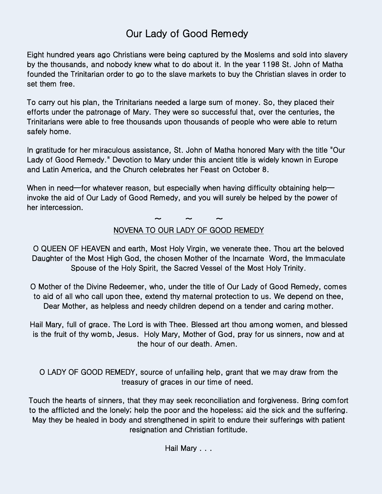## Our Lady of Good Remedy

Eight hundred years ago Christians were being captured by the Moslems and sold into slavery by the thousands, and nobody knew what to do about it. In the year 1198 St. John of Matha founded the Trinitarian order to go to the slave markets to buy the Christian slaves in order to set them free.

To carry out his plan, the Trinitarians needed a large sum of money. So, they placed their efforts under the patronage of Mary. They were so successful that, over the centuries, the Trinitarians were able to free thousands upon thousands of people who were able to return safely home.

In gratitude for her miraculous assistance, St. John of Matha honored Mary with the title "Our Lady of Good Remedy." Devotion to Mary under this ancient title is widely known in Europe and Latin America, and the Church celebrates her Feast on October 8.

When in need—for whatever reason, but especially when having difficulty obtaining help invoke the aid of Our Lady of Good Remedy, and you will surely be helped by the power of her intercession.

 $\sim$   $\sim$   $\sim$ 

## NOVENA TO OUR LADY OF GOOD REMEDY

O QUEEN OF HEAVEN and earth, Most Holy Virgin, we venerate thee. Thou art the beloved Daughter of the Most High God, the chosen Mother of the Incarnate Word, the Immaculate Spouse of the Holy Spirit, the Sacred Vessel of the Most Holy Trinity.

O Mother of the Divine Redeemer, who, under the title of Our Lady of Good Remedy, comes to aid of all who call upon thee, extend thy maternal protection to us. We depend on thee, Dear Mother, as helpless and needy children depend on a tender and caring mother.

Hail Mary, full of grace. The Lord is with Thee. Blessed art thou among women, and blessed is the fruit of thy womb, Jesus. Holy Mary, Mother of God, pray for us sinners, now and at the hour of our death. Amen.

O LADY OF GOOD REMEDY, source of unfailing help, grant that we may draw from the treasury of graces in our time of need.

Touch the hearts of sinners, that they may seek reconciliation and forgiveness. Bring comfort to the afflicted and the lonely; help the poor and the hopeless; aid the sick and the suffering. May they be healed in body and strengthened in spirit to endure their sufferings with patient resignation and Christian fortitude.

Hail Mary . . .